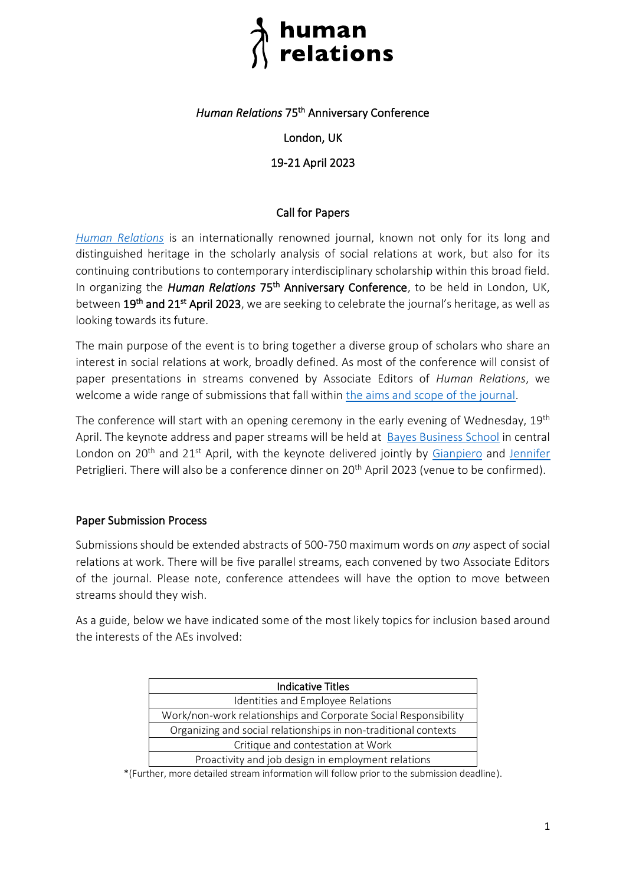# human<br>relations

## *Human Relations* 75th Anniversary Conference

#### London, UK

## 19-21 April 2023

#### Call for Papers

*[Human Relations](https://www.humanrelationsjournal.org/about/hr/)* is an internationally renowned journal, known not only for its long and distinguished heritage in the scholarly analysis of social relations at work, but also for its continuing contributions to contemporary interdisciplinary scholarship within this broad field. In organizing the *Human Relations* 75<sup>th</sup> Anniversary Conference, to be held in London, UK, between 19<sup>th</sup> and 21<sup>st</sup> April 2023, we are seeking to celebrate the journal's heritage, as well as looking towards its future.

The main purpose of the event is to bring together a diverse group of scholars who share an interest in social relations at work, broadly defined. As most of the conference will consist of paper presentations in streams convened by Associate Editors of *Human Relations*, we welcome a wide range of submissions that fall within [the aims and scope of the journal.](https://www.humanrelationsjournal.org/about/aims-scope/)

The conference will start with an opening ceremony in the early evening of Wednesday, 19<sup>th</sup> April. The keynote address and paper streams will be held at [Bayes Business School](https://www.bayes.city.ac.uk/) in central London on 20<sup>th</sup> and 21<sup>st</sup> April, with the keynote delivered jointly by [Gianpiero](http://gpetriglieri.com/) and [Jennifer](https://www.jpetriglieri.com/) Petriglieri. There will also be a conference dinner on 20<sup>th</sup> April 2023 (venue to be confirmed).

#### Paper Submission Process

Submissions should be extended abstracts of 500-750 maximum words on *any* aspect of social relations at work. There will be five parallel streams, each convened by two Associate Editors of the journal. Please note, conference attendees will have the option to move between streams should they wish.

As a guide, below we have indicated some of the most likely topics for inclusion based around the interests of the AEs involved:

| <b>Indicative Titles</b>                                        |
|-----------------------------------------------------------------|
| Identities and Employee Relations                               |
| Work/non-work relationships and Corporate Social Responsibility |
| Organizing and social relationships in non-traditional contexts |
| Critique and contestation at Work                               |
| Proactivity and job design in employment relations              |

\*(Further, more detailed stream information will follow prior to the submission deadline).